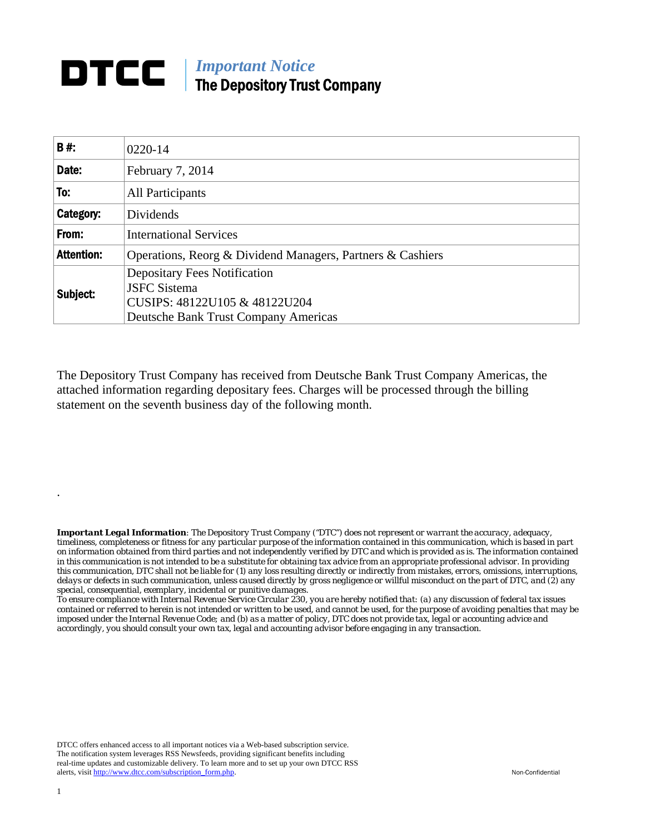## **DTCC** | *Important Notice* The Depository Trust Company

| B#:               | 0220-14                                                                                     |  |  |  |  |
|-------------------|---------------------------------------------------------------------------------------------|--|--|--|--|
| Date:             | February 7, 2014                                                                            |  |  |  |  |
| To:               | <b>All Participants</b>                                                                     |  |  |  |  |
| Category:         | Dividends                                                                                   |  |  |  |  |
| From:             | <b>International Services</b>                                                               |  |  |  |  |
| <b>Attention:</b> | Operations, Reorg & Dividend Managers, Partners & Cashiers                                  |  |  |  |  |
| Subject:          | <b>Depositary Fees Notification</b><br><b>JSFC Sistema</b><br>CUSIPS: 48122U105 & 48122U204 |  |  |  |  |
|                   | Deutsche Bank Trust Company Americas                                                        |  |  |  |  |

The Depository Trust Company has received from Deutsche Bank Trust Company Americas, the attached information regarding depositary fees. Charges will be processed through the billing statement on the seventh business day of the following month.

*Important Legal Information: The Depository Trust Company ("DTC") does not represent or warrant the accuracy, adequacy, timeliness, completeness or fitness for any particular purpose of the information contained in this communication, which is based in part on information obtained from third parties and not independently verified by DTC and which is provided as is. The information contained in this communication is not intended to be a substitute for obtaining tax advice from an appropriate professional advisor. In providing this communication, DTC shall not be liable for (1) any loss resulting directly or indirectly from mistakes, errors, omissions, interruptions, delays or defects in such communication, unless caused directly by gross negligence or willful misconduct on the part of DTC, and (2) any special, consequential, exemplary, incidental or punitive damages.* 

*To ensure compliance with Internal Revenue Service Circular 230, you are hereby notified that: (a) any discussion of federal tax issues contained or referred to herein is not intended or written to be used, and cannot be used, for the purpose of avoiding penalties that may be imposed under the Internal Revenue Code; and (b) as a matter of policy, DTC does not provide tax, legal or accounting advice and accordingly, you should consult your own tax, legal and accounting advisor before engaging in any transaction.*

DTCC offers enhanced access to all important notices via a Web-based subscription service. The notification system leverages RSS Newsfeeds, providing significant benefits including real-time updates and customizable delivery. To learn more and to set up your own DTCC RSS alerts, visit http://www.dtcc.com/subscription\_form.php. Non-Confidential

.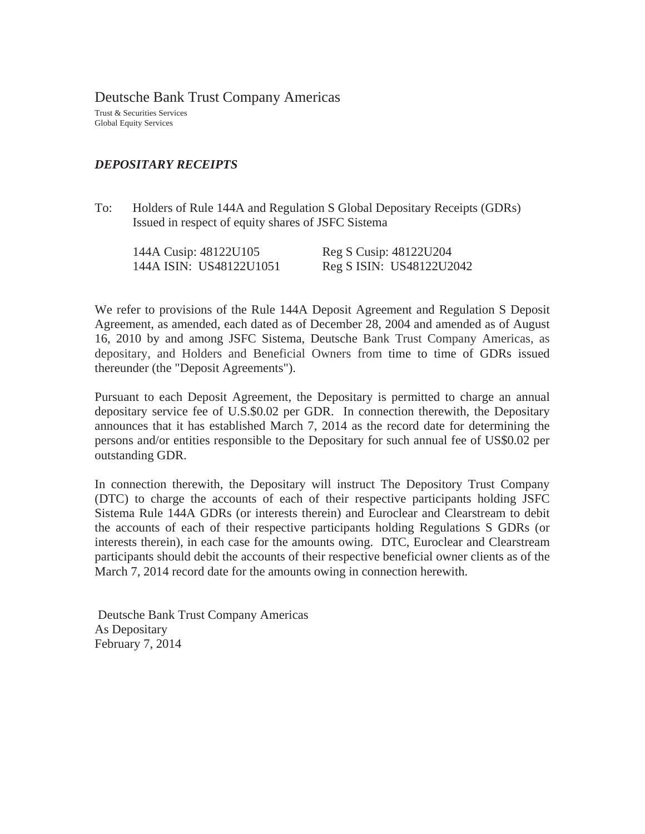Deutsche Bank Trust Company Americas

Trust & Securities Services Global Equity Services

## *DEPOSITARY RECEIPTS*

To: Holders of Rule 144A and Regulation S Global Depositary Receipts (GDRs) Issued in respect of equity shares of JSFC Sistema

| 144A Cusip: 48122U105   | Reg S Cusip: 48122U204   |
|-------------------------|--------------------------|
| 144A ISIN: US48122U1051 | Reg S ISIN: US48122U2042 |

We refer to provisions of the Rule 144A Deposit Agreement and Regulation S Deposit Agreement, as amended, each dated as of December 28, 2004 and amended as of August 16, 2010 by and among JSFC Sistema, Deutsche Bank Trust Company Americas, as depositary, and Holders and Beneficial Owners from time to time of GDRs issued thereunder (the "Deposit Agreements").

Pursuant to each Deposit Agreement, the Depositary is permitted to charge an annual depositary service fee of U.S.\$0.02 per GDR. In connection therewith, the Depositary announces that it has established March 7, 2014 as the record date for determining the persons and/or entities responsible to the Depositary for such annual fee of US\$0.02 per outstanding GDR.

In connection therewith, the Depositary will instruct The Depository Trust Company (DTC) to charge the accounts of each of their respective participants holding JSFC Sistema Rule 144A GDRs (or interests therein) and Euroclear and Clearstream to debit the accounts of each of their respective participants holding Regulations S GDRs (or interests therein), in each case for the amounts owing. DTC, Euroclear and Clearstream participants should debit the accounts of their respective beneficial owner clients as of the March 7, 2014 record date for the amounts owing in connection herewith.

 Deutsche Bank Trust Company Americas As Depositary February 7, 2014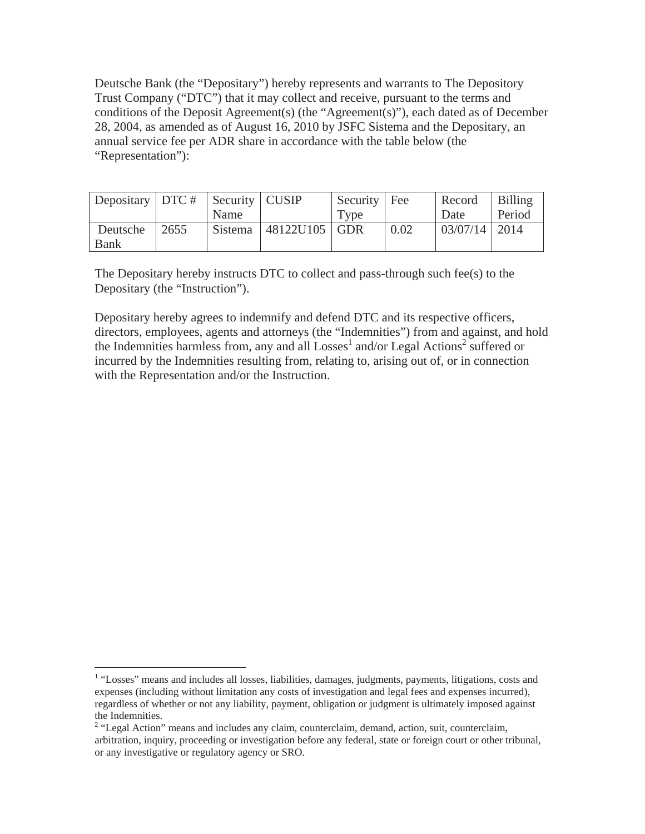Deutsche Bank (the "Depositary") hereby represents and warrants to The Depository Trust Company ("DTC") that it may collect and receive, pursuant to the terms and conditions of the Deposit Agreement(s) (the "Agreement(s)"), each dated as of December 28, 2004, as amended as of August 16, 2010 by JSFC Sistema and the Depositary, an annual service fee per ADR share in accordance with the table below (the "Representation"):

| Depositary   DTC #   Security   CUSIP |      |         |               | Security   Fee |      | Record                         | Billing |
|---------------------------------------|------|---------|---------------|----------------|------|--------------------------------|---------|
|                                       |      | Name    |               | Type           |      | Date                           | Period  |
| Deutsche                              | 2655 | Sistema | 48122U105 GDR |                | 0.02 | $\mid 03/07/14 \mid 2014 \mid$ |         |
| Bank                                  |      |         |               |                |      |                                |         |

The Depositary hereby instructs DTC to collect and pass-through such fee(s) to the Depositary (the "Instruction").

Depositary hereby agrees to indemnify and defend DTC and its respective officers, directors, employees, agents and attorneys (the "Indemnities") from and against, and hold the Indemnities harmless from, any and all  $Losses<sup>1</sup>$  and/or Legal Actions<sup>2</sup> suffered or incurred by the Indemnities resulting from, relating to, arising out of, or in connection with the Representation and/or the Instruction.

<sup>&</sup>lt;sup>1</sup> "Losses" means and includes all losses, liabilities, damages, judgments, payments, litigations, costs and expenses (including without limitation any costs of investigation and legal fees and expenses incurred), regardless of whether or not any liability, payment, obligation or judgment is ultimately imposed against the Indemnities.

<sup>&</sup>lt;sup>2</sup> "Legal Action" means and includes any claim, counterclaim, demand, action, suit, counterclaim, arbitration, inquiry, proceeding or investigation before any federal, state or foreign court or other tribunal, or any investigative or regulatory agency or SRO.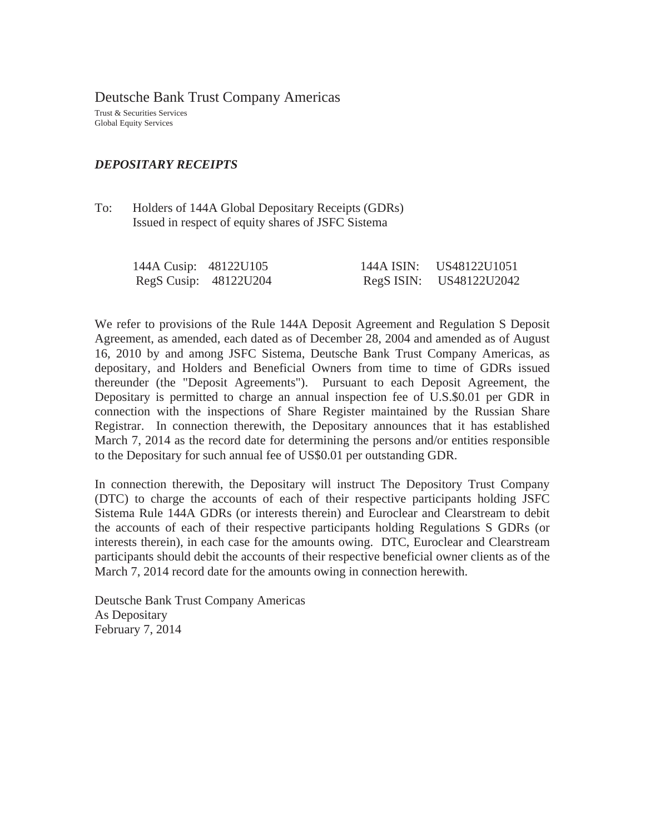Deutsche Bank Trust Company Americas

Trust & Securities Services Global Equity Services

## *DEPOSITARY RECEIPTS*

To: Holders of 144A Global Depositary Receipts (GDRs) Issued in respect of equity shares of JSFC Sistema

| 144A Cusip: 48122U105 |                       | 144A ISIN: US48122U1051 |
|-----------------------|-----------------------|-------------------------|
|                       | RegS Cusip: 48122U204 | RegS ISIN: US48122U2042 |

We refer to provisions of the Rule 144A Deposit Agreement and Regulation S Deposit Agreement, as amended, each dated as of December 28, 2004 and amended as of August 16, 2010 by and among JSFC Sistema, Deutsche Bank Trust Company Americas, as depositary, and Holders and Beneficial Owners from time to time of GDRs issued thereunder (the "Deposit Agreements"). Pursuant to each Deposit Agreement, the Depositary is permitted to charge an annual inspection fee of U.S.\$0.01 per GDR in connection with the inspections of Share Register maintained by the Russian Share Registrar. In connection therewith, the Depositary announces that it has established March 7, 2014 as the record date for determining the persons and/or entities responsible to the Depositary for such annual fee of US\$0.01 per outstanding GDR.

In connection therewith, the Depositary will instruct The Depository Trust Company (DTC) to charge the accounts of each of their respective participants holding JSFC Sistema Rule 144A GDRs (or interests therein) and Euroclear and Clearstream to debit the accounts of each of their respective participants holding Regulations S GDRs (or interests therein), in each case for the amounts owing. DTC, Euroclear and Clearstream participants should debit the accounts of their respective beneficial owner clients as of the March 7, 2014 record date for the amounts owing in connection herewith.

Deutsche Bank Trust Company Americas As Depositary February 7, 2014